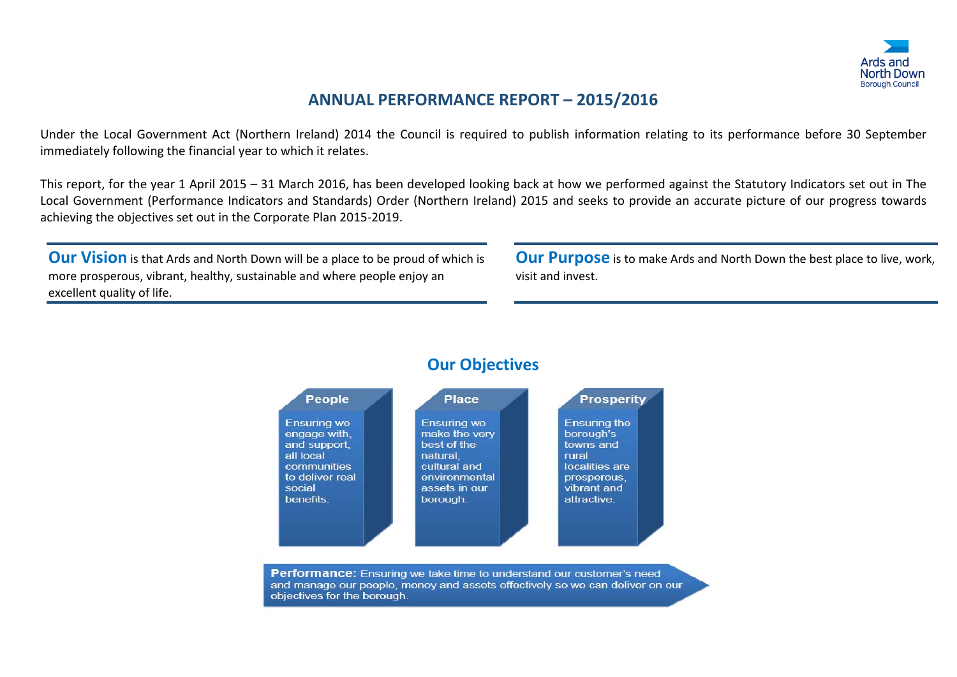

### **ANNUAL PERFORMANCE REPORT – 2015/2016**

Under the Local Government Act (Northern Ireland) 2014 the Council is required to publish information relating to its performance before 30 September immediately following the financial year to which it relates.

This report, for the year 1 April 2015 – 31 March 2016, has been developed looking back at how we performed against the Statutory Indicators set out in The Local Government (Performance Indicators and Standards) Order (Northern Ireland) 2015 and seeks to provide an accurate picture of our progress towards achieving the objectives set out in the Corporate Plan 2015-2019.

**Our Vision** is that Ards and North Down will be a place to be proud of which is more prosperous, vibrant, healthy, sustainable and where people enjoy an excellent quality of life.

**Our Purpose** is to make Ards and North Down the best place to live, work, visit and invest.



#### **Our Objectives**

**Performance:** Ensuring we take time to understand our customer's need and manage our people, money and assets effectively so we can deliver on our objectives for the borough.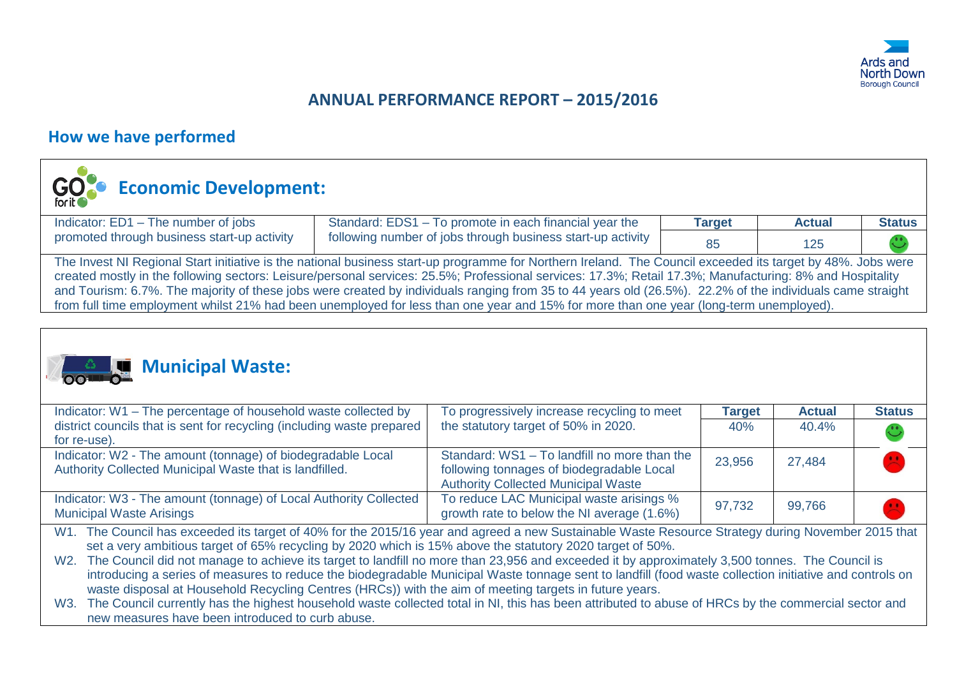

### **ANNUAL PERFORMANCE REPORT – 2015/2016**

#### **How we have performed**



# **Economic Development:**

| Indicator: ED1 - The number of jobs                                                                                                                                                                                                                                                                                                                                                                                                                                                  | Standard: EDS1 - To promote in each financial year the      | <b>Target</b> | <b>Actual</b> | <b>Status</b> |  |  |  |
|--------------------------------------------------------------------------------------------------------------------------------------------------------------------------------------------------------------------------------------------------------------------------------------------------------------------------------------------------------------------------------------------------------------------------------------------------------------------------------------|-------------------------------------------------------------|---------------|---------------|---------------|--|--|--|
| promoted through business start-up activity                                                                                                                                                                                                                                                                                                                                                                                                                                          | following number of jobs through business start-up activity | 85            | 125           |               |  |  |  |
| The Invest NI Regional Start initiative is the national business start-up programme for Northern Ireland. The Council exceeded its target by 48%. Jobs were<br>created mostly in the following sectors: Leisure/personal services: 25.5%; Professional services: 17.3%; Retail 17.3%; Manufacturing: 8% and Hospitality<br>and Tourism: 6.7%. The majority of these jobs were created by individuals ranging from 35 to 44 years old (26.5%). 22.2% of the individuals came straight |                                                             |               |               |               |  |  |  |
| from full time employment whilst 21% had been unemployed for less than one year and 15% for more than one year (long-term unemployed).                                                                                                                                                                                                                                                                                                                                               |                                                             |               |               |               |  |  |  |



# **Municipal Waste:**

| Indicator: W1 - The percentage of household waste collected by                                                                                                                                                                                                                                              | To progressively increase recycling to meet  | <b>Target</b> | <b>Actual</b> | <b>Status</b> |
|-------------------------------------------------------------------------------------------------------------------------------------------------------------------------------------------------------------------------------------------------------------------------------------------------------------|----------------------------------------------|---------------|---------------|---------------|
| district councils that is sent for recycling (including waste prepared                                                                                                                                                                                                                                      | the statutory target of 50% in 2020.         | 40%           | 40.4%         | $\mathbf{C}$  |
| for re-use).                                                                                                                                                                                                                                                                                                |                                              |               |               |               |
| Indicator: W2 - The amount (tonnage) of biodegradable Local                                                                                                                                                                                                                                                 | Standard: WS1 - To landfill no more than the | 23,956        | 27,484        |               |
| Authority Collected Municipal Waste that is landfilled.                                                                                                                                                                                                                                                     | following tonnages of biodegradable Local    |               |               |               |
|                                                                                                                                                                                                                                                                                                             | <b>Authority Collected Municipal Waste</b>   |               |               |               |
| Indicator: W3 - The amount (tonnage) of Local Authority Collected                                                                                                                                                                                                                                           | To reduce LAC Municipal waste arisings %     | 97,732        | 99,766        |               |
| <b>Municipal Waste Arisings</b>                                                                                                                                                                                                                                                                             | growth rate to below the NI average (1.6%)   |               |               |               |
| $\mathbf{r}$ , $\mathbf{r}$ , $\mathbf{r}$ , $\mathbf{r}$ , $\mathbf{r}$ , $\mathbf{r}$ , $\mathbf{r}$ , $\mathbf{r}$ , $\mathbf{r}$ , $\mathbf{r}$ , $\mathbf{r}$ , $\mathbf{r}$ , $\mathbf{r}$ , $\mathbf{r}$ , $\mathbf{r}$ , $\mathbf{r}$ , $\mathbf{r}$ , $\mathbf{r}$ , $\mathbf{r}$ , $\mathbf{r}$ , |                                              |               | .             |               |

W1. The Council has exceeded its target of 40% for the 2015/16 year and agreed a new Sustainable Waste Resource Strategy during November 2015 that set a very ambitious target of 65% recycling by 2020 which is 15% above the statutory 2020 target of 50%.

W2. The Council did not manage to achieve its target to landfill no more than 23,956 and exceeded it by approximately 3,500 tonnes. The Council is introducing a series of measures to reduce the biodegradable Municipal Waste tonnage sent to landfill (food waste collection initiative and controls on waste disposal at Household Recycling Centres (HRCs)) with the aim of meeting targets in future years.

W3. The Council currently has the highest household waste collected total in NI, this has been attributed to abuse of HRCs by the commercial sector and new measures have been introduced to curb abuse.